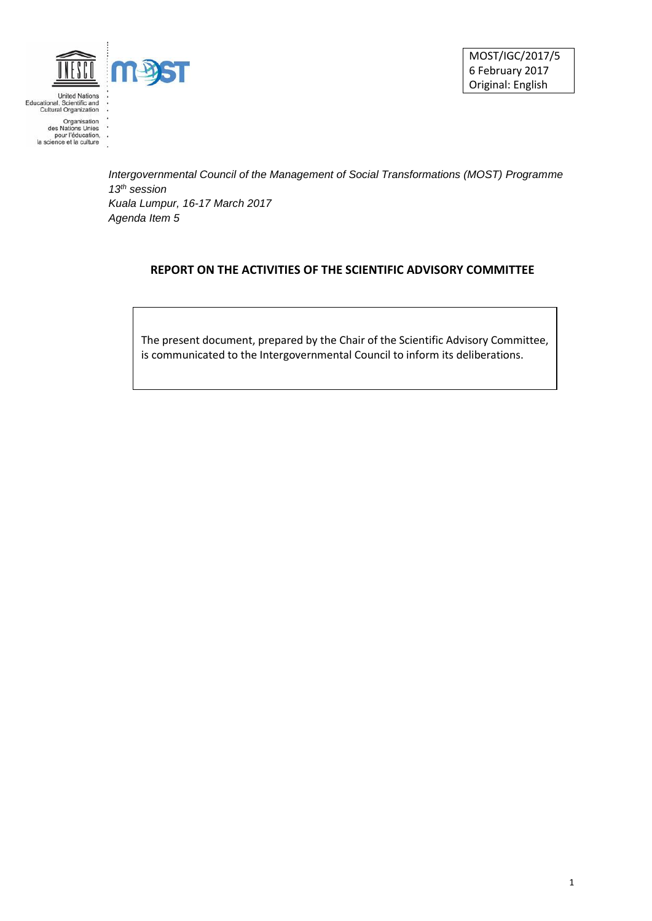

United Nations<br>Educational, Scientific and<br>Cultural Organization

MOST/IGC/2017/5 6 February 2017 Original: English

Organisation<br>des Nations Unies<br>pour l'éducation,<br>la science et la culture J.

> *Intergovernmental Council of the Management of Social Transformations (MOST) Programme 13th session Kuala Lumpur, 16-17 March 2017 Agenda Item 5*

## **REPORT ON THE ACTIVITIES OF THE SCIENTIFIC ADVISORY COMMITTEE**

The present document, prepared by the Chair of the Scientific Advisory Committee, is communicated to the Intergovernmental Council to inform its deliberations.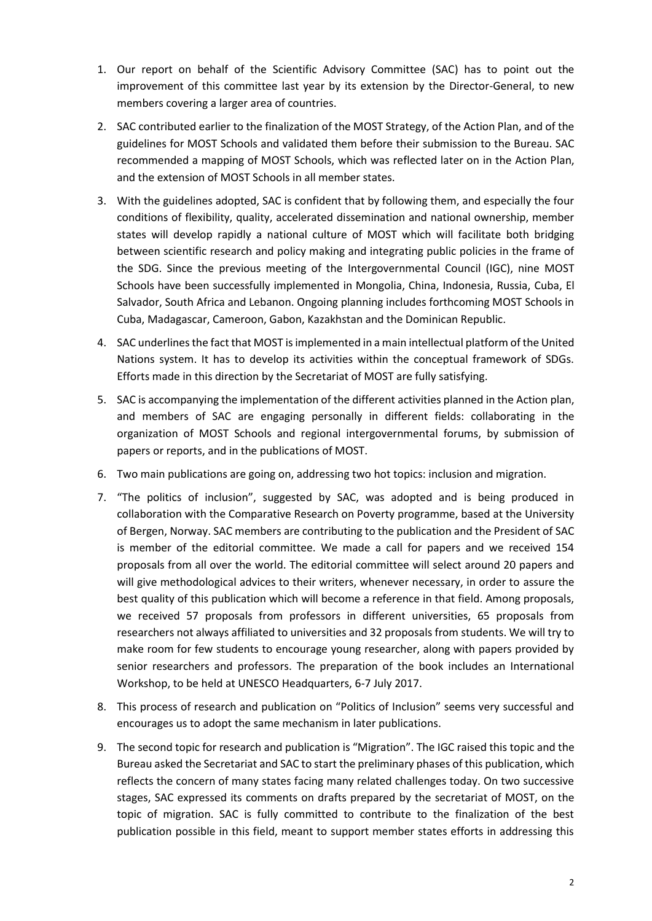- 1. Our report on behalf of the Scientific Advisory Committee (SAC) has to point out the improvement of this committee last year by its extension by the Director-General, to new members covering a larger area of countries.
- 2. SAC contributed earlier to the finalization of the MOST Strategy, of the Action Plan, and of the guidelines for MOST Schools and validated them before their submission to the Bureau. SAC recommended a mapping of MOST Schools, which was reflected later on in the Action Plan, and the extension of MOST Schools in all member states.
- 3. With the guidelines adopted, SAC is confident that by following them, and especially the four conditions of flexibility, quality, accelerated dissemination and national ownership, member states will develop rapidly a national culture of MOST which will facilitate both bridging between scientific research and policy making and integrating public policies in the frame of the SDG. Since the previous meeting of the Intergovernmental Council (IGC), nine MOST Schools have been successfully implemented in Mongolia, China, Indonesia, Russia, Cuba, El Salvador, South Africa and Lebanon. Ongoing planning includes forthcoming MOST Schools in Cuba, Madagascar, Cameroon, Gabon, Kazakhstan and the Dominican Republic.
- 4. SAC underlines the fact that MOST is implemented in a main intellectual platform of the United Nations system. It has to develop its activities within the conceptual framework of SDGs. Efforts made in this direction by the Secretariat of MOST are fully satisfying.
- 5. SAC is accompanying the implementation of the different activities planned in the Action plan, and members of SAC are engaging personally in different fields: collaborating in the organization of MOST Schools and regional intergovernmental forums, by submission of papers or reports, and in the publications of MOST.
- 6. Two main publications are going on, addressing two hot topics: inclusion and migration.
- 7. "The politics of inclusion", suggested by SAC, was adopted and is being produced in collaboration with the Comparative Research on Poverty programme, based at the University of Bergen, Norway. SAC members are contributing to the publication and the President of SAC is member of the editorial committee. We made a call for papers and we received 154 proposals from all over the world. The editorial committee will select around 20 papers and will give methodological advices to their writers, whenever necessary, in order to assure the best quality of this publication which will become a reference in that field. Among proposals, we received 57 proposals from professors in different universities, 65 proposals from researchers not always affiliated to universities and 32 proposals from students. We will try to make room for few students to encourage young researcher, along with papers provided by senior researchers and professors. The preparation of the book includes an International Workshop, to be held at UNESCO Headquarters, 6-7 July 2017.
- 8. This process of research and publication on "Politics of Inclusion" seems very successful and encourages us to adopt the same mechanism in later publications.
- 9. The second topic for research and publication is "Migration". The IGC raised this topic and the Bureau asked the Secretariat and SAC to start the preliminary phases of this publication, which reflects the concern of many states facing many related challenges today. On two successive stages, SAC expressed its comments on drafts prepared by the secretariat of MOST, on the topic of migration. SAC is fully committed to contribute to the finalization of the best publication possible in this field, meant to support member states efforts in addressing this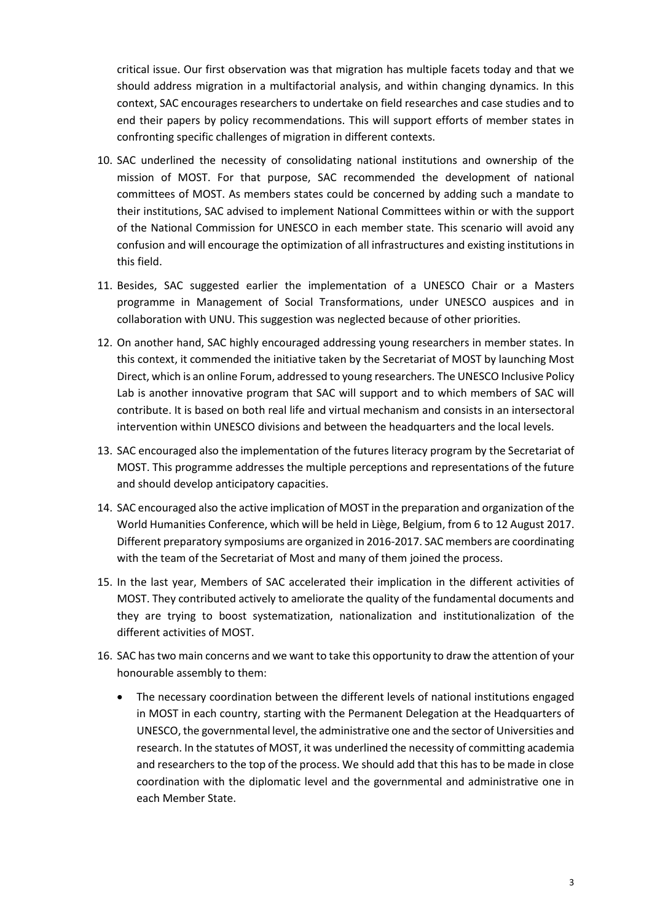critical issue. Our first observation was that migration has multiple facets today and that we should address migration in a multifactorial analysis, and within changing dynamics. In this context, SAC encourages researchers to undertake on field researches and case studies and to end their papers by policy recommendations. This will support efforts of member states in confronting specific challenges of migration in different contexts.

- 10. SAC underlined the necessity of consolidating national institutions and ownership of the mission of MOST. For that purpose, SAC recommended the development of national committees of MOST. As members states could be concerned by adding such a mandate to their institutions, SAC advised to implement National Committees within or with the support of the National Commission for UNESCO in each member state. This scenario will avoid any confusion and will encourage the optimization of all infrastructures and existing institutions in this field.
- 11. Besides, SAC suggested earlier the implementation of a UNESCO Chair or a Masters programme in Management of Social Transformations, under UNESCO auspices and in collaboration with UNU. This suggestion was neglected because of other priorities.
- 12. On another hand, SAC highly encouraged addressing young researchers in member states. In this context, it commended the initiative taken by the Secretariat of MOST by launching Most Direct, which is an online Forum, addressed to young researchers. The UNESCO Inclusive Policy Lab is another innovative program that SAC will support and to which members of SAC will contribute. It is based on both real life and virtual mechanism and consists in an intersectoral intervention within UNESCO divisions and between the headquarters and the local levels.
- 13. SAC encouraged also the implementation of the futures literacy program by the Secretariat of MOST. This programme addresses the multiple perceptions and representations of the future and should develop anticipatory capacities.
- 14. SAC encouraged also the active implication of MOST in the preparation and organization of the World Humanities Conference, which will be held in Liège, Belgium, from 6 to 12 August 2017. Different preparatory symposiums are organized in 2016-2017. SAC members are coordinating with the team of the Secretariat of Most and many of them joined the process.
- 15. In the last year, Members of SAC accelerated their implication in the different activities of MOST. They contributed actively to ameliorate the quality of the fundamental documents and they are trying to boost systematization, nationalization and institutionalization of the different activities of MOST.
- 16. SAC has two main concerns and we want to take this opportunity to draw the attention of your honourable assembly to them:
	- The necessary coordination between the different levels of national institutions engaged in MOST in each country, starting with the Permanent Delegation at the Headquarters of UNESCO, the governmental level, the administrative one and the sector of Universities and research. In the statutes of MOST, it was underlined the necessity of committing academia and researchers to the top of the process. We should add that this has to be made in close coordination with the diplomatic level and the governmental and administrative one in each Member State.